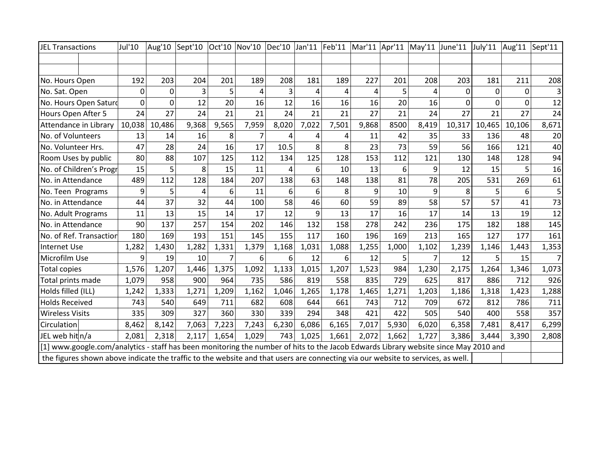| JEL Transactions                                                                                                                    | Jul'10                                                                                                                          | Aug'10       | Sept'10        | Oct'10         | Nov'10 | Dec'10 | Jan'11 | Feb'11   | Mar'11 | Apr'11 | May'11 June'11 |          | July'11  | Aug'11   | Sept'11 |
|-------------------------------------------------------------------------------------------------------------------------------------|---------------------------------------------------------------------------------------------------------------------------------|--------------|----------------|----------------|--------|--------|--------|----------|--------|--------|----------------|----------|----------|----------|---------|
|                                                                                                                                     |                                                                                                                                 |              |                |                |        |        |        |          |        |        |                |          |          |          |         |
|                                                                                                                                     |                                                                                                                                 |              |                |                |        |        |        |          |        |        |                |          |          |          |         |
| No. Hours Open                                                                                                                      | 192                                                                                                                             | 203          | 204            | 201            | 189    | 208    | 181    | 189      | 227    | 201    | 208            | 203      | 181      | 211      | 208     |
| No. Sat. Open                                                                                                                       | $\Omega$                                                                                                                        | $\mathbf{0}$ | 3              | 5              | 4      |        | 4      | 4        | 4      | 5      | 4              | $\Omega$ | $\Omega$ | 0        |         |
| No. Hours Open Saturd                                                                                                               | $\Omega$                                                                                                                        | $\Omega$     | 12             | 20             | 16     | 12     | 16     | 16       | 16     | 20     | 16             | $\Omega$ | $\Omega$ | $\Omega$ | 12      |
| Hours Open After 5                                                                                                                  | 24                                                                                                                              | 27           | 24             | 21             | 21     | 24     | 21     | 21       | 27     | 21     | 24             | 27       | 21       | 27       | 24      |
| <b>Attendance in Library</b>                                                                                                        | 10,038                                                                                                                          | 10,486       | 9,368          | 9,565          | 7,959  | 8,020  | 7,022  | 7,501    | 9,868  | 8500   | 8,419          | 10,317   | 10,465   | 10,106   | 8,671   |
| No. of Volunteers                                                                                                                   | 13                                                                                                                              | 14           | 16             | 8              |        |        | 4      | 4        | 11     | 42     | 35             | 33       | 136      | 48       | 20      |
| No. Volunteer Hrs.                                                                                                                  | 47                                                                                                                              | 28           | 24             | 16             | 17     | 10.5   | 8      | 8        | 23     | 73     | 59             | 56       | 166      | 121      | 40      |
| Room Uses by public                                                                                                                 | 80                                                                                                                              | 88           | 107            | 125            | 112    | 134    | 125    | 128      | 153    | 112    | 121            | 130      | 148      | 128      | 94      |
| No. of Children's Progr                                                                                                             | 15                                                                                                                              | 5            | 8              | 15             | 11     | 4      | 6      | 10       | 13     | 6      | 9              | 12       | 15       | 5        | 16      |
| No. in Attendance                                                                                                                   | 489                                                                                                                             | 112          | 128            | 184            | 207    | 138    | 63     | 148      | 138    | 81     | 78             | 205      | 531      | 269      | 61      |
| No. Teen Programs                                                                                                                   | 9                                                                                                                               | 5            | $\overline{a}$ | 6              | 11     | 6      | 6      | 8        | 9      | 10     | 9              | 8        | 5        | 6        | 5       |
| No. in Attendance                                                                                                                   | 44                                                                                                                              | 37           | 32             | 44             | 100    | 58     | 46     | 60       | 59     | 89     | 58             | 57       | 57       | 41       | 73      |
| No. Adult Programs                                                                                                                  | 11                                                                                                                              | 13           | 15             | 14             | 17     | 12     | 9      | 13       | 17     | 16     | 17             | 14       | 13       | 19       | 12      |
| No. in Attendance                                                                                                                   | 90                                                                                                                              | 137          | 257            | 154            | 202    | 146    | 132    | 158      | 278    | 242    | 236            | 175      | 182      | 188      | 145     |
| No. of Ref. Transaction                                                                                                             | 180                                                                                                                             | 169          | 193            | 151            | 145    | 155    | 117    | 160      | 196    | 169    | 213            | 165      | 127      | 177      | 161     |
| Internet Use                                                                                                                        | 1,282                                                                                                                           | 1,430        | 1,282          | 1,331          | 1,379  | 1,168  | 1,031  | 1,088    | 1,255  | 1,000  | 1,102          | 1,239    | 1,146    | 1,443    | 1,353   |
| Microfilm Use                                                                                                                       | $\mathbf{q}$                                                                                                                    | 19           | 10             | $\overline{7}$ | 6      | 6      | 12     | $6 \mid$ | 12     | 5.     | $\overline{7}$ | 12       | 5        | 15       |         |
| <b>Total copies</b>                                                                                                                 | 1,576                                                                                                                           | 1,207        | 1,446          | 1,375          | 1,092  | 1,133  | 1,015  | 1,207    | 1,523  | 984    | 1,230          | 2,175    | 1,264    | 1,346    | 1,073   |
| Total prints made                                                                                                                   | 1,079                                                                                                                           | 958          | 900            | 964            | 735    | 586    | 819    | 558      | 835    | 729    | 625            | 817      | 886      | 712      | 926     |
| Holds filled (ILL)                                                                                                                  | 1,242                                                                                                                           | 1,333        | 1,271          | 1,209          | 1,162  | 1,046  | 1,265  | 1,178    | 1,465  | 1,271  | 1,203          | 1,186    | 1,318    | 1,423    | 1,288   |
| <b>Holds Received</b>                                                                                                               | 743                                                                                                                             | 540          | 649            | 711            | 682    | 608    | 644    | 661      | 743    | 712    | 709            | 672      | 812      | 786      | 711     |
| <b>Wireless Visits</b>                                                                                                              | 335                                                                                                                             | 309          | 327            | 360            | 330    | 339    | 294    | 348      | 421    | 422    | 505            | 540      | 400      | 558      | 357     |
| Circulation                                                                                                                         | 8,462                                                                                                                           | 8,142        | 7,063          | 7,223          | 7,243  | 6,230  | 6,086  | 6,165    | 7,017  | 5,930  | 6,020          | 6,358    | 7,481    | 8,417    | 6,299   |
| JEL web hit n/a                                                                                                                     | 2,081                                                                                                                           | 2,318        | 2,117          | 1,654          | 1,029  | 743    | 1,025  | 1,661    | 2,072  | 1,662  | 1,727          | 3,386    | 3,444    | 3,390    | 2,808   |
| [1] www.google.com/analytics - staff has been monitoring the number of hits to the Jacob Edwards Library website since May 2010 and |                                                                                                                                 |              |                |                |        |        |        |          |        |        |                |          |          |          |         |
|                                                                                                                                     | the figures shown above indicate the traffic to the website and that users are connecting via our website to services, as well. |              |                |                |        |        |        |          |        |        |                |          |          |          |         |